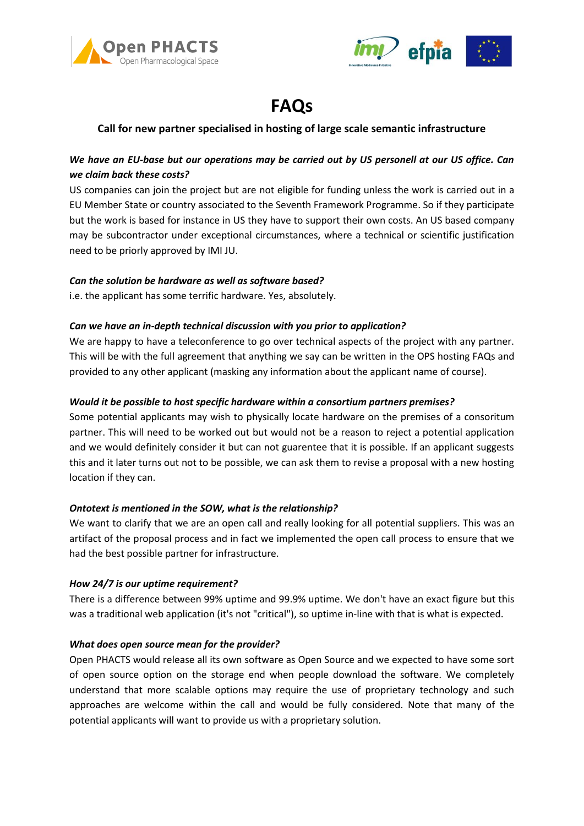



# **FAQs**

## **Call for new partner specialised in hosting of large scale semantic infrastructure**

## *We have an EU-base but our operations may be carried out by US personell at our US office. Can we claim back these costs?*

US companies can join the project but are not eligible for funding unless the work is carried out in a EU Member State or country associated to the Seventh Framework Programme. So if they participate but the work is based for instance in US they have to support their own costs. An US based company may be subcontractor under exceptional circumstances, where a technical or scientific justification need to be priorly approved by IMI JU.

#### *Can the solution be hardware as well as software based?*

i.e. the applicant has some terrific hardware. Yes, absolutely.

#### *Can we have an in-depth technical discussion with you prior to application?*

We are happy to have a teleconference to go over technical aspects of the project with any partner. This will be with the full agreement that anything we say can be written in the OPS hosting FAQs and provided to any other applicant (masking any information about the applicant name of course).

#### *Would it be possible to host specific hardware within a consortium partners premises?*

Some potential applicants may wish to physically locate hardware on the premises of a consoritum partner. This will need to be worked out but would not be a reason to reject a potential application and we would definitely consider it but can not guarentee that it is possible. If an applicant suggests this and it later turns out not to be possible, we can ask them to revise a proposal with a new hosting location if they can.

### *Ontotext is mentioned in the SOW, what is the relationship?*

We want to clarify that we are an open call and really looking for all potential suppliers. This was an artifact of the proposal process and in fact we implemented the open call process to ensure that we had the best possible partner for infrastructure.

#### *How 24/7 is our uptime requirement?*

There is a difference between 99% uptime and 99.9% uptime. We don't have an exact figure but this was a traditional web application (it's not "critical"), so uptime in-line with that is what is expected.

#### *What does open source mean for the provider?*

Open PHACTS would release all its own software as Open Source and we expected to have some sort of open source option on the storage end when people download the software. We completely understand that more scalable options may require the use of proprietary technology and such approaches are welcome within the call and would be fully considered. Note that many of the potential applicants will want to provide us with a proprietary solution.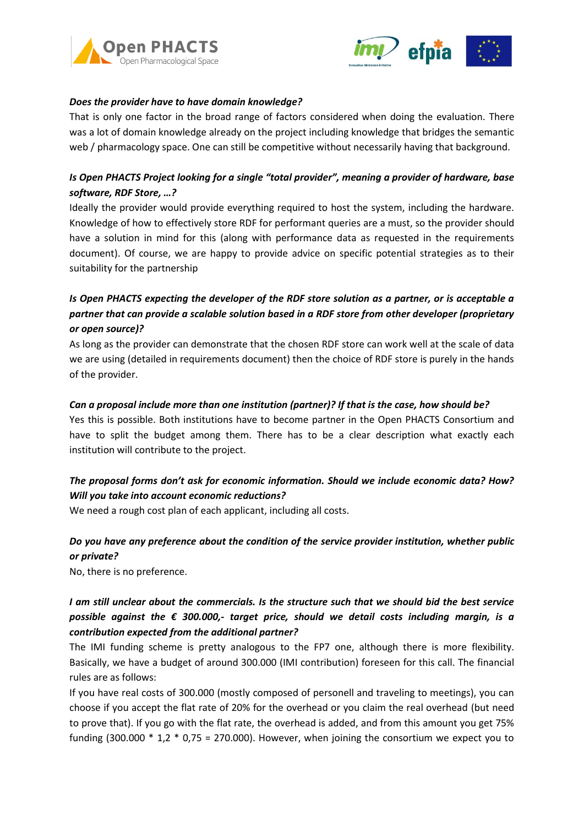



#### *Does the provider have to have domain knowledge?*

That is only one factor in the broad range of factors considered when doing the evaluation. There was a lot of domain knowledge already on the project including knowledge that bridges the semantic web / pharmacology space. One can still be competitive without necessarily having that background.

## *Is Open PHACTS Project looking for a single "total provider", meaning a provider of hardware, base software, RDF Store, …?*

Ideally the provider would provide everything required to host the system, including the hardware. Knowledge of how to effectively store RDF for performant queries are a must, so the provider should have a solution in mind for this (along with performance data as requested in the requirements document). Of course, we are happy to provide advice on specific potential strategies as to their suitability for the partnership

# *Is Open PHACTS expecting the developer of the RDF store solution as a partner, or is acceptable a partner that can provide a scalable solution based in a RDF store from other developer (proprietary or open source)?*

As long as the provider can demonstrate that the chosen RDF store can work well at the scale of data we are using (detailed in requirements document) then the choice of RDF store is purely in the hands of the provider.

#### *Can a proposal include more than one institution (partner)? If that is the case, how should be?*

Yes this is possible. Both institutions have to become partner in the Open PHACTS Consortium and have to split the budget among them. There has to be a clear description what exactly each institution will contribute to the project.

# *The proposal forms don't ask for economic information. Should we include economic data? How? Will you take into account economic reductions?*

We need a rough cost plan of each applicant, including all costs.

# *Do you have any preference about the condition of the service provider institution, whether public or private?*

No, there is no preference.

# *I am still unclear about the commercials. Is the structure such that we should bid the best service possible against the € 300.000,- target price, should we detail costs including margin, is a contribution expected from the additional partner?*

The IMI funding scheme is pretty analogous to the FP7 one, although there is more flexibility. Basically, we have a budget of around 300.000 (IMI contribution) foreseen for this call. The financial rules are as follows:

If you have real costs of 300.000 (mostly composed of personell and traveling to meetings), you can choose if you accept the flat rate of 20% for the overhead or you claim the real overhead (but need to prove that). If you go with the flat rate, the overhead is added, and from this amount you get 75% funding (300.000  $*$  1,2  $*$  0,75 = 270.000). However, when joining the consortium we expect you to